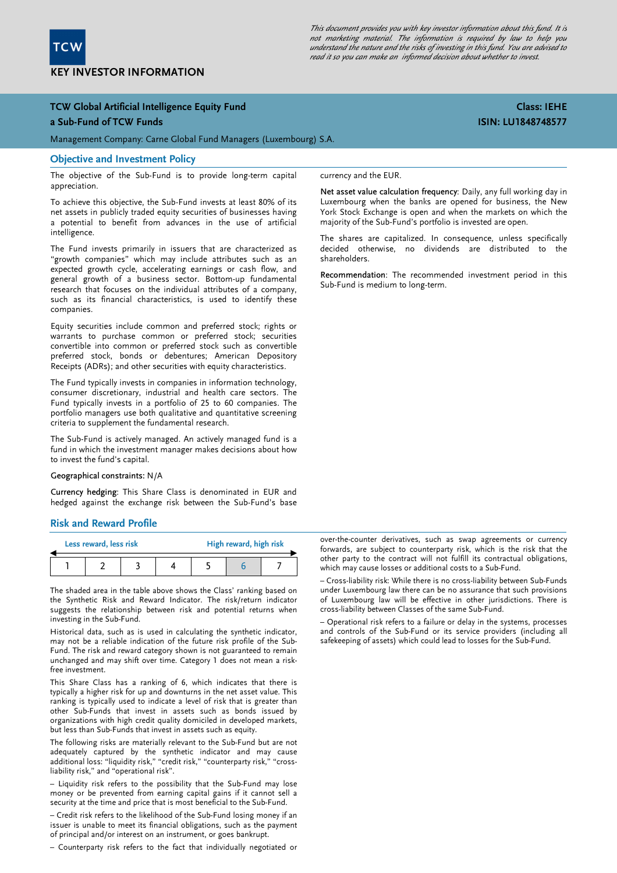

This document provides you with key investor information about this fund. It is not marketing material. The information is required by law to help you understand the nature and the risks of investing in this fund. You are advised to read it so you can make an informed decision about whether to invest.

# TCW Global Artificial Intelligence Equity Fund

#### a Sub-Fund of TCW Funds

Management Company: Carne Global Fund Managers (Luxembourg) S.A.

#### Objective and Investment Policy

The objective of the Sub-Fund is to provide long-term capital appreciation.

To achieve this objective, the Sub-Fund invests at least 80% of its net assets in publicly traded equity securities of businesses having a potential to benefit from advances in the use of artificial intelligence.

The Fund invests primarily in issuers that are characterized as "growth companies" which may include attributes such as an expected growth cycle, accelerating earnings or cash flow, and general growth of a business sector. Bottom-up fundamental research that focuses on the individual attributes of a company, such as its financial characteristics, is used to identify these companies.

Equity securities include common and preferred stock; rights or warrants to purchase common or preferred stock; securities convertible into common or preferred stock such as convertible preferred stock, bonds or debentures; American Depository Receipts (ADRs); and other securities with equity characteristics.

The Fund typically invests in companies in information technology, consumer discretionary, industrial and health care sectors. The Fund typically invests in a portfolio of 25 to 60 companies. The portfolio managers use both qualitative and quantitative screening criteria to supplement the fundamental research.

The Sub-Fund is actively managed. An actively managed fund is a fund in which the investment manager makes decisions about how to invest the fund's capital.

#### Geographical constraints: N/A

Currency hedging: This Share Class is denominated in EUR and hedged against the exchange risk between the Sub-Fund's base

## Risk and Reward Profile

| Less reward, less risk |  |  |  | High reward, high risk |  |  |  |
|------------------------|--|--|--|------------------------|--|--|--|
|                        |  |  |  |                        |  |  |  |

The shaded area in the table above shows the Class' ranking based on the Synthetic Risk and Reward Indicator. The risk/return indicator suggests the relationship between risk and potential returns when investing in the Sub-Fund.

 may not be a reliable indication of the future risk profile of the Sub-Historical data, such as is used in calculating the synthetic indicator, Fund. The risk and reward category shown is not guaranteed to remain unchanged and may shift over time. Category 1 does not mean a riskfree investment.

This Share Class has a ranking of 6, which indicates that there is typically a higher risk for up and downturns in the net asset value. This ranking is typically used to indicate a level of risk that is greater than other Sub-Funds that invest in assets such as bonds issued by organizations with high credit quality domiciled in developed markets, but less than Sub-Funds that invest in assets such as equity.

The following risks are materially relevant to the Sub-Fund but are not adequately captured by the synthetic indicator and may cause additional loss: "liquidity risk," "credit risk," "counterparty risk," "crossliability risk," and "operational risk".

– Liquidity risk refers to the possibility that the Sub-Fund may lose money or be prevented from earning capital gains if it cannot sell a security at the time and price that is most beneficial to the Sub-Fund.

– Credit risk refers to the likelihood of the Sub-Fund losing money if an issuer is unable to meet its financial obligations, such as the payment of principal and/or interest on an instrument, or goes bankrupt.

– Counterparty risk refers to the fact that individually negotiated or

currency and the EUR.

Net asset value calculation frequency: Daily, any full working day in Luxembourg when the banks are opened for business, the New York Stock Exchange is open and when the markets on which the majority of the Sub-Fund's portfolio is invested are open.

The shares are capitalized. In consequence, unless specifically decided otherwise, no dividends are distributed to the shareholders.

Recommendation: The recommended investment period in this Sub-Fund is medium to long-term.

over-the-counter derivatives, such as swap agreements or currency forwards, are subject to counterparty risk, which is the risk that the other party to the contract will not fulfill its contractual obligations, which may cause losses or additional costs to a Sub-Fund.

– Cross-liability risk: While there is no cross-liability between Sub-Funds under Luxembourg law there can be no assurance that such provisions of Luxembourg law will be effective in other jurisdictions. There is cross-liability between Classes of the same Sub-Fund.

– Operational risk refers to a failure or delay in the systems, processes and controls of the Sub-Fund or its service providers (including all safekeeping of assets) which could lead to losses for the Sub-Fund.

# Class: IEHE ISIN: LU1848748577